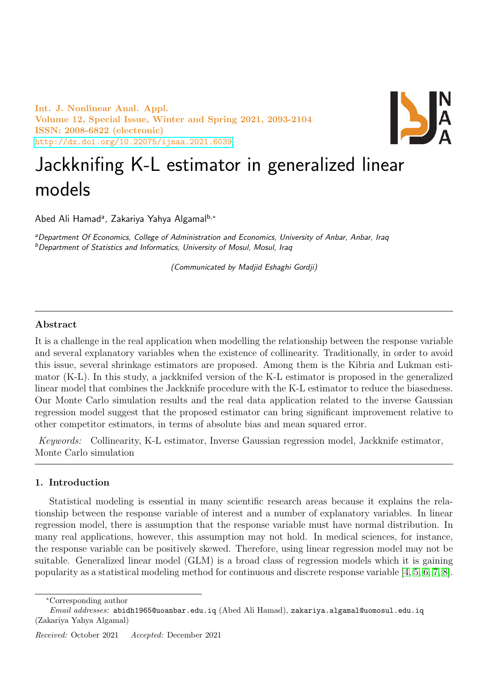Int. J. Nonlinear Anal. Appl. Volume 12, Special Issue, Winter and Spring 2021, 2093-2104 ISSN: 2008-6822 (electronic) <http://dx.doi.org/10.22075/ijnaa.2021.6039>



# Jackknifing K-L estimator in generalized linear models

Abed Ali Hamadª, Zakariya Yahya Algamal<sup>b,∗</sup>

aDepartment Of Economics, College of Administration and Economics, University of Anbar, Anbar, Iraq  $<sup>b</sup>$ Department of Statistics and Informatics, University of Mosul, Mosul, Iraq</sup>

(Communicated by Madjid Eshaghi Gordji)

### Abstract

It is a challenge in the real application when modelling the relationship between the response variable and several explanatory variables when the existence of collinearity. Traditionally, in order to avoid this issue, several shrinkage estimators are proposed. Among them is the Kibria and Lukman estimator (K-L). In this study, a jackknifed version of the K-L estimator is proposed in the generalized linear model that combines the Jackknife procedure with the K-L estimator to reduce the biasedness. Our Monte Carlo simulation results and the real data application related to the inverse Gaussian regression model suggest that the proposed estimator can bring significant improvement relative to other competitor estimators, in terms of absolute bias and mean squared error.

Keywords: Collinearity, K-L estimator, Inverse Gaussian regression model, Jackknife estimator, Monte Carlo simulation

## 1. Introduction

Statistical modeling is essential in many scientific research areas because it explains the relationship between the response variable of interest and a number of explanatory variables. In linear regression model, there is assumption that the response variable must have normal distribution. In many real applications, however, this assumption may not hold. In medical sciences, for instance, the response variable can be positively skewed. Therefore, using linear regression model may not be suitable. Generalized linear model (GLM) is a broad class of regression models which it is gaining popularity as a statistical modeling method for continuous and discrete response variable [\[4,](#page-10-0) [5,](#page-10-1) [6,](#page-10-2) [7,](#page-10-3) [8\]](#page-10-4).

<sup>∗</sup>Corresponding author

 $Email \ addresses:$  abidh1965@uoanbar.edu.iq (Abed Ali Hamad), zakariya.algamal@uomosul.edu.iq (Zakariya Yahya Algamal)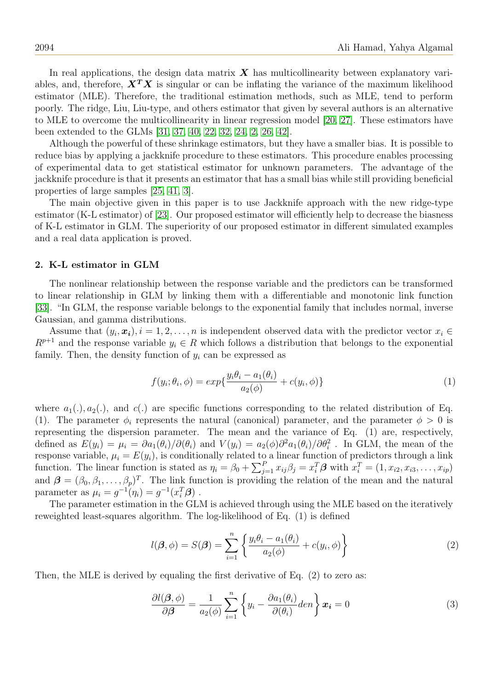In real applications, the design data matrix  $\boldsymbol{X}$  has multicollinearity between explanatory variables, and, therefore,  $X^T X$  is singular or can be inflating the variance of the maximum likelihood estimator (MLE). Therefore, the traditional estimation methods, such as MLE, tend to perform poorly. The ridge, Liu, Liu-type, and others estimator that given by several authors is an alternative to MLE to overcome the multicollinearity in linear regression model [\[20,](#page-10-5) [27\]](#page-11-0). These estimators have been extended to the GLMs [\[31,](#page-11-1) [37,](#page-11-2) [40,](#page-11-3) [22,](#page-10-6) [32,](#page-11-4) [24,](#page-10-7) [2,](#page-10-8) [26,](#page-10-9) [42\]](#page-11-5).

Although the powerful of these shrinkage estimators, but they have a smaller bias. It is possible to reduce bias by applying a jackknife procedure to these estimators. This procedure enables processing of experimental data to get statistical estimator for unknown parameters. The advantage of the jackknife procedure is that it presents an estimator that has a small bias while still providing beneficial properties of large samples [\[25,](#page-10-10) [41,](#page-11-6) [3\]](#page-10-11).

The main objective given in this paper is to use Jackknife approach with the new ridge-type estimator (K-L estimator) of [\[23\]](#page-10-12). Our proposed estimator will efficiently help to decrease the biasness of K-L estimator in GLM. The superiority of our proposed estimator in different simulated examples and a real data application is proved.

### 2. K-L estimator in GLM

The nonlinear relationship between the response variable and the predictors can be transformed to linear relationship in GLM by linking them with a differentiable and monotonic link function [\[33\]](#page-11-7). "In GLM, the response variable belongs to the exponential family that includes normal, inverse Gaussian, and gamma distributions.

Assume that  $(y_i, x_i)$ ,  $i = 1, 2, \ldots, n$  is independent observed data with the predictor vector  $x_i \in$  $R^{p+1}$  and the response variable  $y_i \in R$  which follows a distribution that belongs to the exponential family. Then, the density function of  $y_i$  can be expressed as

$$
f(y_i; \theta_i, \phi) = exp\{\frac{y_i \theta_i - a_1(\theta_i)}{a_2(\phi)} + c(y_i, \phi)\}\tag{1}
$$

where  $a_1(.)$ ,  $a_2(.)$ , and  $c(.)$  are specific functions corresponding to the related distribution of Eq. (1). The parameter  $\phi_i$  represents the natural (canonical) parameter, and the parameter  $\phi > 0$  is representing the dispersion parameter. The mean and the variance of Eq. (1) are, respectively, defined as  $E(y_i) = \mu_i = \partial a_1(\theta_i)/\partial(\theta_i)$  and  $V(y_i) = a_2(\phi)\partial^2 a_1(\theta_i)/\partial\theta_i^2$ . In GLM, the mean of the response variable,  $\mu_i = E(y_i)$ , is conditionally related to a linear function of predictors through a link function. The linear function is stated as  $\eta_i = \beta_0 + \sum_{j=1}^P x_{ij}\beta_j = x_i^T\boldsymbol{\beta}$  with  $x_i^T = (1, x_{i2}, x_{i3}, \dots, x_{ip})$ and  $\boldsymbol{\beta} = (\beta_0, \beta_1, \dots, \beta_p)^T$ . The link function is providing the relation of the mean and the natural parameter as  $\mu_i = g^{-1}(\eta_i) = g^{-1}(x_i^T \beta)$ .

The parameter estimation in the GLM is achieved through using the MLE based on the iteratively reweighted least-squares algorithm. The log-likelihood of Eq. (1) is defined

$$
l(\boldsymbol{\beta}, \phi) = S(\boldsymbol{\beta}) = \sum_{i=1}^{n} \left\{ \frac{y_i \theta_i - a_1(\theta_i)}{a_2(\phi)} + c(y_i, \phi) \right\}
$$
(2)

Then, the MLE is derived by equaling the first derivative of Eq. (2) to zero as:

$$
\frac{\partial l(\boldsymbol{\beta}, \phi)}{\partial \boldsymbol{\beta}} = \frac{1}{a_2(\phi)} \sum_{i=1}^n \left\{ y_i - \frac{\partial a_1(\theta_i)}{\partial(\theta_i)} den \right\} \boldsymbol{x_i} = 0 \tag{3}
$$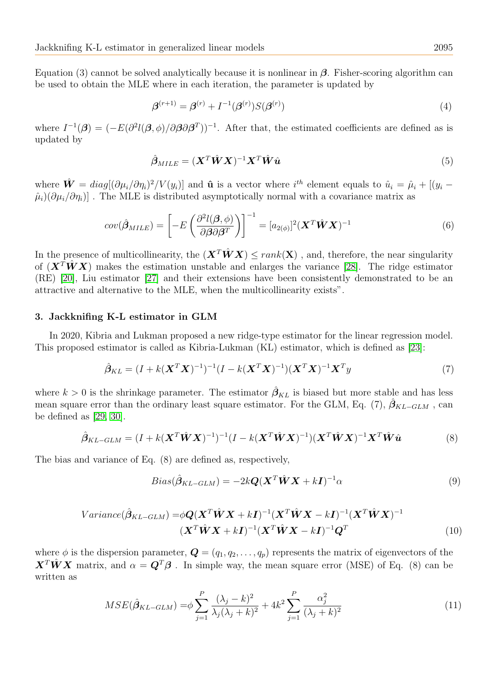Equation (3) cannot be solved analytically because it is nonlinear in  $\beta$ . Fisher-scoring algorithm can be used to obtain the MLE where in each iteration, the parameter is updated by

$$
\beta^{(r+1)} = \beta^{(r)} + I^{-1}(\beta^{(r)})S(\beta^{(r)})\tag{4}
$$

where  $I^{-1}(\beta) = (-E(\partial^2 l(\beta, \phi)/\partial \beta \partial \beta^T))^{-1}$ . After that, the estimated coefficients are defined as is updated by

$$
\hat{\boldsymbol{\beta}}_{MILE} = (\boldsymbol{X}^T \hat{\boldsymbol{W}} \boldsymbol{X})^{-1} \boldsymbol{X}^T \hat{\boldsymbol{W}} \hat{\boldsymbol{u}} \tag{5}
$$

where  $\hat{\mathbf{W}} = diag[(\partial \mu_i/\partial \eta_i)^2/V(y_i)]$  and  $\hat{\mathbf{u}}$  is a vector where  $i^{th}$  element equals to  $\hat{u}_i = \hat{\mu}_i + [(y_i - \hat{\mathbf{v}}_i)^2/V(y_i)]$  $\hat{\mu}_i$ )( $\partial \mu_i/\partial \eta_i$ )] . The MLE is distributed asymptotically normal with a covariance matrix as

$$
cov(\hat{\boldsymbol{\beta}}_{MILE}) = \left[ -E\left(\frac{\partial^2 l(\boldsymbol{\beta}, \phi)}{\partial \boldsymbol{\beta} \partial \boldsymbol{\beta}^T}\right) \right]^{-1} = [a_{2(\phi)}]^2 (\boldsymbol{X}^T \hat{\boldsymbol{W}} \boldsymbol{X})^{-1}
$$
(6)

In the presence of multicollinearity, the  $(\mathbf{X}^T \hat{\mathbf{W}} \mathbf{X}) \leq rank(\mathbf{X})$ , and, therefore, the near singularity of  $(\mathbf{X}^T \hat{\mathbf{W}} \mathbf{X})$  makes the estimation unstable and enlarges the variance [\[28\]](#page-11-8). The ridge estimator (RE) [\[20\]](#page-10-5), Liu estimator [\[27\]](#page-11-0) and their extensions have been consistently demonstrated to be an attractive and alternative to the MLE, when the multicollinearity exists".

### 3. Jackknifing K-L estimator in GLM

In 2020, Kibria and Lukman proposed a new ridge-type estimator for the linear regression model. This proposed estimator is called as Kibria-Lukman (KL) estimator, which is defined as [\[23\]](#page-10-12):

$$
\hat{\beta}_{KL} = (I + k(\mathbf{X}^T \mathbf{X})^{-1})^{-1} (I - k(\mathbf{X}^T \mathbf{X})^{-1}) (\mathbf{X}^T \mathbf{X})^{-1} \mathbf{X}^T y
$$
\n(7)

where  $k > 0$  is the shrinkage parameter. The estimator  $\hat{\beta}_{KL}$  is biased but more stable and has less mean square error than the ordinary least square estimator. For the GLM, Eq. (7),  $\beta_{KL-GLM}$ , can be defined as [\[29,](#page-11-9) [30\]](#page-11-10).

$$
\hat{\beta}_{KL-GLM} = (I + k(\mathbf{X}^T \hat{\mathbf{W}} \mathbf{X})^{-1})^{-1} (I - k(\mathbf{X}^T \hat{\mathbf{W}} \mathbf{X})^{-1}) (\mathbf{X}^T \hat{\mathbf{W}} \mathbf{X})^{-1} \mathbf{X}^T \hat{\mathbf{W}} \hat{\mathbf{u}} \tag{8}
$$

The bias and variance of Eq. (8) are defined as, respectively,

$$
Bias(\hat{\beta}_{KL-GLM}) = -2k\mathbf{Q}(\mathbf{X}^T \hat{\mathbf{W}} \mathbf{X} + k\mathbf{I})^{-1} \alpha
$$
\n(9)

$$
Variance(\hat{\beta}_{KL-GLM}) = \phi \mathbf{Q} (\mathbf{X}^T \hat{\mathbf{W}} \mathbf{X} + k\mathbf{I})^{-1} (\mathbf{X}^T \hat{\mathbf{W}} \mathbf{X} - k\mathbf{I})^{-1} (\mathbf{X}^T \hat{\mathbf{W}} \mathbf{X})^{-1}
$$
  

$$
(\mathbf{X}^T \hat{\mathbf{W}} \mathbf{X} + k\mathbf{I})^{-1} (\mathbf{X}^T \hat{\mathbf{W}} \mathbf{X} - k\mathbf{I})^{-1} \mathbf{Q}^T
$$
(10)

where  $\phi$  is the dispersion parameter,  $\mathbf{Q} = (q_1, q_2, \dots, q_p)$  represents the matrix of eigenvectors of the  $\mathbf{X}^T \hat{\mathbf{W}} \mathbf{X}$  matrix, and  $\alpha = \mathbf{Q}^T \boldsymbol{\beta}$ . In simple way, the mean square error (MSE) of Eq. (8) can be written as

$$
MSE(\hat{\beta}_{KL-GLM}) = \phi \sum_{j=1}^{P} \frac{(\lambda_j - k)^2}{\lambda_j (\lambda_j + k)^2} + 4k^2 \sum_{j=1}^{P} \frac{\alpha_j^2}{(\lambda_j + k)^2}
$$
(11)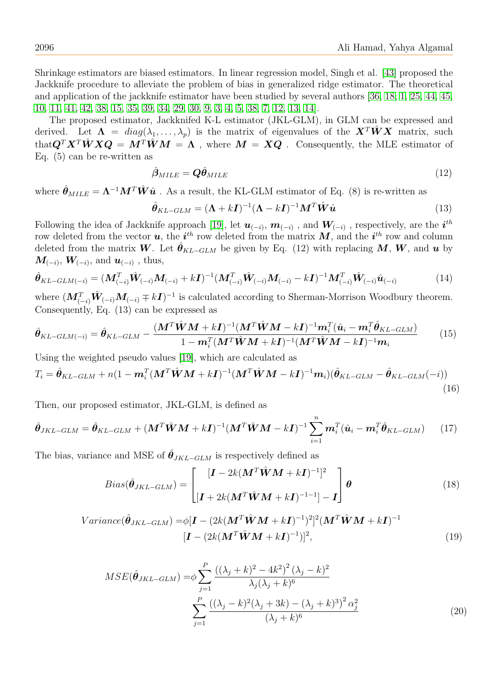Shrinkage estimators are biased estimators. In linear regression model, Singh et al. [\[43\]](#page-11-11) proposed the Jackknife procedure to alleviate the problem of bias in generalized ridge estimator. The theoretical and application of the jackknife estimator have been studied by several authors [\[36,](#page-11-12) [18,](#page-10-13) [1,](#page-10-14) [25,](#page-10-10) [44,](#page-11-13) [45,](#page-11-14) [10,](#page-10-15) [11,](#page-10-16) [41,](#page-11-6) [42,](#page-11-5) [38,](#page-11-15) [15,](#page-10-17) [35,](#page-11-16) [39,](#page-11-17) [34,](#page-11-18) [29,](#page-11-9) [30,](#page-11-10) [9,](#page-10-18) [3,](#page-10-11) [4,](#page-10-0) [5,](#page-10-1) [38,](#page-11-15) [7,](#page-10-3) [12,](#page-10-19) [13,](#page-10-20) [14\]](#page-10-21).

The proposed estimator, Jackknifed K-L estimator (JKL-GLM), in GLM can be expressed and derived. Let  $\Lambda = diag(\lambda_1, ..., \lambda_n)$  is the matrix of eigenvalues of the  $X^T\hat{W}X$  matrix, such that $\mathbf{Q}^T\mathbf{X}^T\hat{\mathbf{W}}\mathbf{X}\mathbf{Q} = \mathbf{M}^T\hat{\mathbf{W}}\mathbf{M} = \mathbf{\Lambda}$ , where  $\mathbf{M} = \mathbf{X}\mathbf{Q}$ . Consequently, the MLE estimator of Eq. (5) can be re-written as

$$
\hat{\boldsymbol{\beta}}_{MILE} = \boldsymbol{Q}\hat{\boldsymbol{\theta}}_{MILE} \tag{12}
$$

where  $\hat{\theta}_{MILE} = \Lambda^{-1} M^T \hat{W} \hat{u}$ . As a result, the KL-GLM estimator of Eq. (8) is re-written as

$$
\hat{\theta}_{KL-GLM} = (\mathbf{\Lambda} + k\mathbf{I})^{-1} (\mathbf{\Lambda} - k\mathbf{I})^{-1} \mathbf{M}^T \hat{\mathbf{W}} \hat{\mathbf{u}} \tag{13}
$$

Following the idea of Jackknife approach [\[19\]](#page-10-22), let  $u_{(-i)}, m_{(-i)}$  , and  $W_{(-i)}$  , respectively, are the  $i^{th}$ row deleted from the vector  $u$ , the  $i^{th}$  row deleted from the matrix  $M$ , and the  $i^{th}$  row and column deleted from the matrix W. Let  $\hat{\theta}_{KL-GLM}$  be given by Eq. (12) with replacing M, W, and u by  $\boldsymbol{M}_{(-i)},\,\boldsymbol{W}_{(-i)},\,\text{and}\;\boldsymbol{u}_{(-i)}$  , thus,

$$
\hat{\theta}_{KL-GLM(-i)} = (\mathbf{M}_{(-i)}^T \hat{\mathbf{W}}_{(-i)} \mathbf{M}_{(-i)} + k \mathbf{I})^{-1} (\mathbf{M}_{(-i)}^T \hat{\mathbf{W}}_{(-i)} \mathbf{M}_{(-i)} - k \mathbf{I})^{-1} \mathbf{M}_{(-i)}^T \hat{\mathbf{W}}_{(-i)} \hat{\mathbf{u}}_{(-i)}
$$
(14)

where  $(M_{(-i)}^T \hat{W}_{(-i)} M_{(-i)} \mp kI)^{-1}$  is calculated according to Sherman-Morrison Woodbury theorem. Consequently, Eq. (13) can be expressed as

$$
\hat{\theta}_{KL-GLM(-i)} = \hat{\theta}_{KL-GLM} - \frac{(M^T \hat{W}M + k\mathbf{I})^{-1} (M^T \hat{W}M - k\mathbf{I})^{-1} \mathbf{m}_i^T (\hat{\mathbf{u}}_i - \mathbf{m}_i^T \hat{\theta}_{KL-GLM})}{1 - \mathbf{m}_i^T (M^T \hat{W}M + k\mathbf{I})^{-1} (M^T \hat{W}M - k\mathbf{I})^{-1} \mathbf{m}_i}
$$
(15)

Using the weighted pseudo values [\[19\]](#page-10-22), which are calculated as

$$
T_i = \hat{\boldsymbol{\theta}}_{KL-GLM} + n(1 - \boldsymbol{m}_i^T (\boldsymbol{M}^T \hat{\boldsymbol{W}} \boldsymbol{M} + k \boldsymbol{I})^{-1} (\boldsymbol{M}^T \hat{\boldsymbol{W}} \boldsymbol{M} - k \boldsymbol{I})^{-1} \boldsymbol{m}_i) (\hat{\boldsymbol{\theta}}_{KL-GLM} - \hat{\boldsymbol{\theta}}_{KL-GLM}(-i))
$$
\n(16)

Then, our proposed estimator, JKL-GLM, is defined as

$$
\hat{\boldsymbol{\theta}}_{JKL-GLM} = \hat{\boldsymbol{\theta}}_{KL-GLM} + (\boldsymbol{M}^T \hat{\boldsymbol{W}} \boldsymbol{M} + k \boldsymbol{I})^{-1} (\boldsymbol{M}^T \hat{\boldsymbol{W}} \boldsymbol{M} - k \boldsymbol{I})^{-1} \sum_{i=1}^n \boldsymbol{m}_i^T (\hat{\boldsymbol{u}}_i - \boldsymbol{m}_i^T \hat{\boldsymbol{\theta}}_{KL-GLM}) \qquad (17)
$$

The bias, variance and MSE of  $\hat{\theta}_{JKL-GLM}$  is respectively defined as

$$
Bias(\hat{\theta}_{JKL-GLM}) = \begin{bmatrix} [\boldsymbol{I} - 2k(\boldsymbol{M}^T \hat{\boldsymbol{W}} \boldsymbol{M} + k\boldsymbol{I})^{-1}]^2 \\ [\boldsymbol{I} + 2k(\boldsymbol{M}^T \hat{\boldsymbol{W}} \boldsymbol{M} + k\boldsymbol{I})^{-1-1}] - \boldsymbol{I} \end{bmatrix} \boldsymbol{\theta}
$$
(18)

$$
Variance(\hat{\theta}_{JKL-GLM}) = \phi[\mathbf{I} - (2k(\mathbf{M}^T \hat{\mathbf{W}} \mathbf{M} + k\mathbf{I})^{-1})^2]^2 (\mathbf{M}^T \hat{\mathbf{W}} \mathbf{M} + k\mathbf{I})^{-1}
$$
  

$$
[\mathbf{I} - (2k(\mathbf{M}^T \hat{\mathbf{W}} \mathbf{M} + k\mathbf{I})^{-1})]^2,
$$
 (19)

$$
MSE(\hat{\theta}_{JKL-GLM}) = \phi \sum_{j=1}^{P} \frac{((\lambda_j + k)^2 - 4k^2)^2 (\lambda_j - k)^2}{\lambda_j (\lambda_j + k)^6}
$$

$$
\sum_{j=1}^{P} \frac{((\lambda_j - k)^2 (\lambda_j + 3k) - (\lambda_j + k)^3)^2 \alpha_j^2}{(\lambda_j + k)^6}
$$
(20)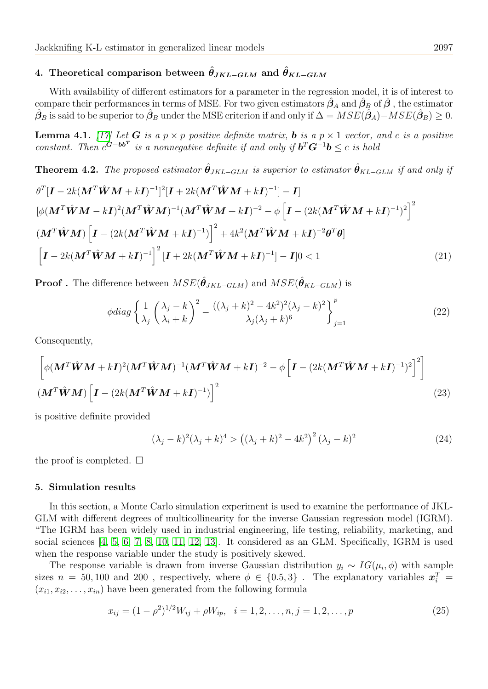# 4. Theoretical comparison between  $\hat{\theta}_{JKL-GLM}$  and  $\hat{\theta}_{KL-GLM}$

With availability of different estimators for a parameter in the regression model, it is of interest to compare their performances in terms of MSE. For two given estimators  $\hat{\beta}_A$  and  $\hat{\beta}_B$  of  $\hat{\beta}$  , the estimator  $\hat{\bm{\beta}}_B$  is said to be superior to  $\hat{\bm{\beta}}_B$  under the MSE criterion if and only if  $\Delta = MSE(\hat{\bm{\beta}}_A) - MSE(\hat{\bm{\beta}}_B) \geq 0$ .

**Lemma 4.1.** [\[17\]](#page-10-23) Let **G** is a  $p \times p$  positive definite matrix, **b** is a  $p \times 1$  vector, and c is a positive constant. Then  $c^{G-bb^T}$  is a nonnegative definite if and only if  $b^T G^{-1} b \leq c$  is hold

**Theorem 4.2.** The proposed estimator  $\hat{\theta}_{JKL-GLM}$  is superior to estimator  $\hat{\theta}_{KL-GLM}$  if and only if

$$
\theta^{T}[\boldsymbol{I} - 2k(\boldsymbol{M}^{T}\hat{\boldsymbol{W}}\boldsymbol{M} + k\boldsymbol{I})^{-1}]^{2}[\boldsymbol{I} + 2k(\boldsymbol{M}^{T}\hat{\boldsymbol{W}}\boldsymbol{M} + k\boldsymbol{I})^{-1}] - \boldsymbol{I}]
$$
  
\n
$$
[\phi(\boldsymbol{M}^{T}\hat{\boldsymbol{W}}\boldsymbol{M} - k\boldsymbol{I})^{2}(\boldsymbol{M}^{T}\hat{\boldsymbol{W}}\boldsymbol{M})^{-1}(\boldsymbol{M}^{T}\hat{\boldsymbol{W}}\boldsymbol{M} + k\boldsymbol{I})^{-2} - \phi[\boldsymbol{I} - (2k(\boldsymbol{M}^{T}\hat{\boldsymbol{W}}\boldsymbol{M} + k\boldsymbol{I})^{-1})^{2}]^{2}
$$
  
\n
$$
(\boldsymbol{M}^{T}\hat{\boldsymbol{W}}\boldsymbol{M})[\boldsymbol{I} - (2k(\boldsymbol{M}^{T}\hat{\boldsymbol{W}}\boldsymbol{M} + k\boldsymbol{I})^{-1})]^{2} + 4k^{2}(\boldsymbol{M}^{T}\hat{\boldsymbol{W}}\boldsymbol{M} + k\boldsymbol{I})^{-2}\boldsymbol{\theta}^{T}\boldsymbol{\theta}]
$$
  
\n
$$
[\boldsymbol{I} - 2k(\boldsymbol{M}^{T}\hat{\boldsymbol{W}}\boldsymbol{M} + k\boldsymbol{I})^{-1}]^{2}[\boldsymbol{I} + 2k(\boldsymbol{M}^{T}\hat{\boldsymbol{W}}\boldsymbol{M} + k\boldsymbol{I})^{-1}] - \boldsymbol{I}]0 < 1
$$
\n(21)

**Proof** . The difference between  $MSE(\hat{\theta}_{JKL-GLM})$  and  $MSE(\hat{\theta}_{KL-GLM})$  is

$$
\phi diag\left\{\frac{1}{\lambda_j}\left(\frac{\lambda_j-k}{\lambda_i+k}\right)^2 - \frac{((\lambda_j+k)^2 - 4k^2)^2(\lambda_j-k)^2}{\lambda_j(\lambda_j+k)^6}\right\}_{j=1}^p
$$
\n(22)

Consequently,

$$
\left[ \phi(\mathbf{M}^T \hat{\mathbf{W}} \mathbf{M} + k \mathbf{I})^2 (\mathbf{M}^T \hat{\mathbf{W}} \mathbf{M})^{-1} (\mathbf{M}^T \hat{\mathbf{W}} \mathbf{M} + k \mathbf{I})^{-2} - \phi \left[ \mathbf{I} - (2k(\mathbf{M}^T \hat{\mathbf{W}} \mathbf{M} + k \mathbf{I})^{-1})^2 \right]^2 \right]
$$
  

$$
(\mathbf{M}^T \hat{\mathbf{W}} \mathbf{M}) \left[ \mathbf{I} - (2k(\mathbf{M}^T \hat{\mathbf{W}} \mathbf{M} + k \mathbf{I})^{-1}) \right]^2
$$
(23)

is positive definite provided

$$
(\lambda_j - k)^2 (\lambda_j + k)^4 > ((\lambda_j + k)^2 - 4k^2)^2 (\lambda_j - k)^2
$$
\n(24)

the proof is completed.  $\square$ 

### 5. Simulation results

In this section, a Monte Carlo simulation experiment is used to examine the performance of JKL-GLM with different degrees of multicollinearity for the inverse Gaussian regression model (IGRM). "The IGRM has been widely used in industrial engineering, life testing, reliability, marketing, and social sciences [\[4,](#page-10-0) [5,](#page-10-1) [6,](#page-10-2) [7,](#page-10-3) [8,](#page-10-4) [10,](#page-10-15) [11,](#page-10-16) [12,](#page-10-19) [13\]](#page-10-20). It considered as an GLM. Specifically, IGRM is used when the response variable under the study is positively skewed.

The response variable is drawn from inverse Gaussian distribution  $y_i \sim IG(\mu_i, \phi)$  with sample sizes  $n = 50, 100$  and 200, respectively, where  $\phi \in \{0.5, 3\}$ . The explanatory variables  $\boldsymbol{x}_i^T =$  $(x_{i1}, x_{i2}, \ldots, x_{in})$  have been generated from the following formula

$$
x_{ij} = (1 - \rho^2)^{1/2} W_{ij} + \rho W_{ip}, \quad i = 1, 2, \dots, n, j = 1, 2, \dots, p
$$
\n
$$
(25)
$$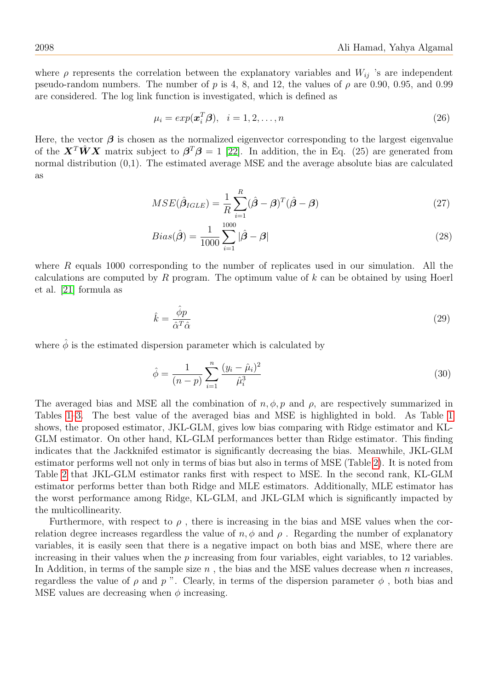where  $\rho$  represents the correlation between the explanatory variables and  $W_{ij}$  's are independent pseudo-random numbers. The number of p is 4, 8, and 12, the values of  $\rho$  are 0.90, 0.95, and 0.99 are considered. The log link function is investigated, which is defined as

$$
\mu_i = exp(\boldsymbol{x}_i^T \boldsymbol{\beta}), \quad i = 1, 2, \dots, n
$$
\n<sup>(26)</sup>

Here, the vector  $\beta$  is chosen as the normalized eigenvector corresponding to the largest eigenvalue of the  $\mathbf{X}^T \hat{\mathbf{W}} \mathbf{X}$  matrix subject to  $\mathbf{\beta}^T \mathbf{\beta} = 1$  [\[22\]](#page-10-6). In addition, the in Eq. (25) are generated from normal distribution  $(0,1)$ . The estimated average MSE and the average absolute bias are calculated as

$$
MSE(\hat{\boldsymbol{\beta}}_{IGLE}) = \frac{1}{R} \sum_{i=1}^{R} (\hat{\boldsymbol{\beta}} - \boldsymbol{\beta})^T (\hat{\boldsymbol{\beta}} - \boldsymbol{\beta})
$$
(27)

$$
Bias(\hat{\boldsymbol{\beta}}) = \frac{1}{1000} \sum_{i=1}^{1000} |\hat{\boldsymbol{\beta}} - \boldsymbol{\beta}| \tag{28}
$$

where R equals 1000 corresponding to the number of replicates used in our simulation. All the calculations are computed by  $R$  program. The optimum value of  $k$  can be obtained by using Hoerl et al. [\[21\]](#page-10-24) formula as

$$
\hat{k} = \frac{\hat{\phi}p}{\hat{\alpha}^T \hat{\alpha}} \tag{29}
$$

where  $\hat{\phi}$  is the estimated dispersion parameter which is calculated by

$$
\hat{\phi} = \frac{1}{(n-p)} \sum_{i=1}^{n} \frac{(y_i - \hat{\mu}_i)^2}{\hat{\mu}_i^3}
$$
\n(30)

The averaged bias and MSE all the combination of  $n, \phi, p$  and  $\rho$ , are respectively summarized in Tables [1–](#page-6-0)[3.](#page-8-0) The best value of the averaged bias and MSE is highlighted in bold. As Table [1](#page-6-0) shows, the proposed estimator, JKL-GLM, gives low bias comparing with Ridge estimator and KL-GLM estimator. On other hand, KL-GLM performances better than Ridge estimator. This finding indicates that the Jackknifed estimator is significantly decreasing the bias. Meanwhile, JKL-GLM estimator performs well not only in terms of bias but also in terms of MSE (Table [2\)](#page-7-0). It is noted from Table [2](#page-7-0) that JKL-GLM estimator ranks first with respect to MSE. In the second rank, KL-GLM estimator performs better than both Ridge and MLE estimators. Additionally, MLE estimator has the worst performance among Ridge, KL-GLM, and JKL-GLM which is significantly impacted by the multicollinearity.

Furthermore, with respect to  $\rho$ , there is increasing in the bias and MSE values when the correlation degree increases regardless the value of  $n, \phi$  and  $\rho$ . Regarding the number of explanatory variables, it is easily seen that there is a negative impact on both bias and MSE, where there are increasing in their values when the  $p$  increasing from four variables, eight variables, to 12 variables. In Addition, in terms of the sample size  $n$ , the bias and the MSE values decrease when n increases, regardless the value of  $\rho$  and  $p$ ". Clearly, in terms of the dispersion parameter  $\phi$ , both bias and MSE values are decreasing when  $\phi$  increasing.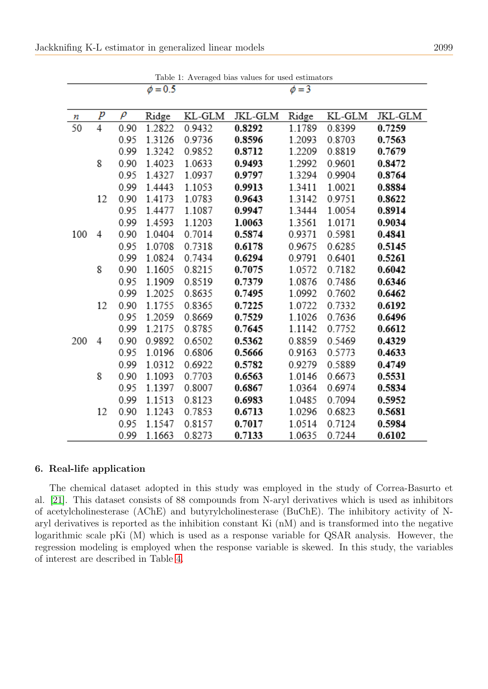<span id="page-6-0"></span>

|     |    |        | $\phi = 0.5$ |        |         | $\phi = 3$ |        |         |
|-----|----|--------|--------------|--------|---------|------------|--------|---------|
|     |    |        |              |        |         |            |        |         |
| п   | р  | $\rho$ | Ridge        | KL-GLM | JKL-GLM | Ridge      | KL-GLM | JKL-GLM |
| 50  | 4  | 0.90   | 1.2822       | 0.9432 | 0.8292  | 1.1789     | 0.8399 | 0.7259  |
|     |    | 0.95   | 1.3126       | 0.9736 | 0.8596  | 1.2093     | 0.8703 | 0.7563  |
|     |    | 0.99   | 1.3242       | 0.9852 | 0.8712  | 1.2209     | 0.8819 | 0.7679  |
|     | 8  | 0.90   | 1.4023       | 1.0633 | 0.9493  | 1.2992     | 0.9601 | 0.8472  |
|     |    | 0.95   | 1.4327       | 1.0937 | 0.9797  | 1.3294     | 0.9904 | 0.8764  |
|     |    | 0.99   | 1.4443       | 1.1053 | 0.9913  | 1.3411     | 1.0021 | 0.8884  |
|     | 12 | 0.90   | 1.4173       | 1.0783 | 0.9643  | 1.3142     | 0.9751 | 0.8622  |
|     |    | 0.95   | 1.4477       | 1.1087 | 0.9947  | 1.3444     | 1.0054 | 0.8914  |
|     |    | 0.99   | 1.4593       | 1.1203 | 1.0063  | 1.3561     | 1.0171 | 0.9034  |
| 100 | 4  | 0.90   | 1.0404       | 0.7014 | 0.5874  | 0.9371     | 0.5981 | 0.4841  |
|     |    | 0.95   | 1.0708       | 0.7318 | 0.6178  | 0.9675     | 0.6285 | 0.5145  |
|     |    | 0.99   | 1.0824       | 0.7434 | 0.6294  | 0.9791     | 0.6401 | 0.5261  |
|     | 8  | 0.90   | 1.1605       | 0.8215 | 0.7075  | 1.0572     | 0.7182 | 0.6042  |
|     |    | 0.95   | 1.1909       | 0.8519 | 0.7379  | 1.0876     | 0.7486 | 0.6346  |
|     |    | 0.99   | 1.2025       | 0.8635 | 0.7495  | 1.0992     | 0.7602 | 0.6462  |
|     | 12 | 0.90   | 1.1755       | 0.8365 | 0.7225  | 1.0722     | 0.7332 | 0.6192  |
|     |    | 0.95   | 1.2059       | 0.8669 | 0.7529  | 1.1026     | 0.7636 | 0.6496  |
|     |    | 0.99   | 1.2175       | 0.8785 | 0.7645  | 1.1142     | 0.7752 | 0.6612  |
| 200 | 4  | 0.90   | 0.9892       | 0.6502 | 0.5362  | 0.8859     | 0.5469 | 0.4329  |
|     |    | 0.95   | 1.0196       | 0.6806 | 0.5666  | 0.9163     | 0.5773 | 0.4633  |
|     |    | 0.99   | 1.0312       | 0.6922 | 0.5782  | 0.9279     | 0.5889 | 0.4749  |
|     | 8  | 0.90   | 1.1093       | 0.7703 | 0.6563  | 1.0146     | 0.6673 | 0.5531  |
|     |    | 0.95   | 1.1397       | 0.8007 | 0.6867  | 1.0364     | 0.6974 | 0.5834  |
|     |    | 0.99   | 1.1513       | 0.8123 | 0.6983  | 1.0485     | 0.7094 | 0.5952  |
|     | 12 | 0.90   | 1.1243       | 0.7853 | 0.6713  | 1.0296     | 0.6823 | 0.5681  |
|     |    | 0.95   | 1.1547       | 0.8157 | 0.7017  | 1.0514     | 0.7124 | 0.5984  |
|     |    | 0.99   | 1.1663       | 0.8273 | 0.7133  | 1.0635     | 0.7244 | 0.6102  |

Table 1: Averaged bias values for used estimators

### 6. Real-life application

The chemical dataset adopted in this study was employed in the study of Correa-Basurto et al. [\[21\]](#page-10-24). This dataset consists of 88 compounds from N-aryl derivatives which is used as inhibitors of acetylcholinesterase (AChE) and butyrylcholinesterase (BuChE). The inhibitory activity of Naryl derivatives is reported as the inhibition constant Ki (nM) and is transformed into the negative logarithmic scale pKi (M) which is used as a response variable for QSAR analysis. However, the regression modeling is employed when the response variable is skewed. In this study, the variables of interest are described in Table [4.](#page-9-0)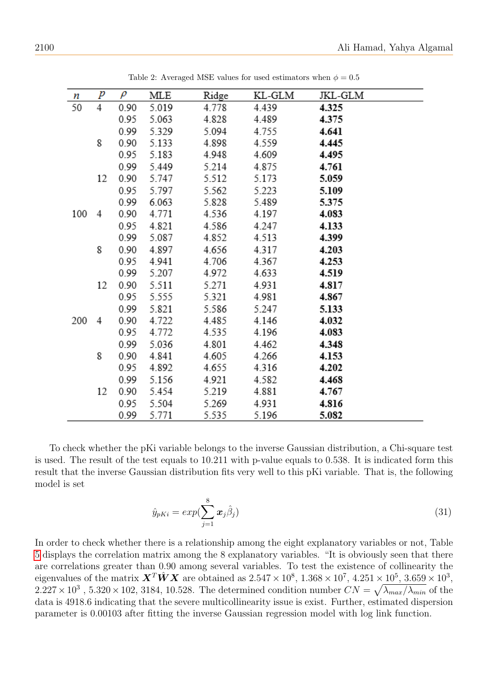<span id="page-7-0"></span>

| п   | р  | $\rho$ | MLE   | Ridge | KL-GLM | JKL-GLM |
|-----|----|--------|-------|-------|--------|---------|
| 50  | 4  | 0.90   | 5.019 | 4.778 | 4.439  | 4.325   |
|     |    | 0.95   | 5.063 | 4.828 | 4.489  | 4.375   |
|     |    | 0.99   | 5.329 | 5.094 | 4.755  | 4.641   |
|     | 8  | 0.90   | 5.133 | 4.898 | 4.559  | 4.445   |
|     |    | 0.95   | 5.183 | 4.948 | 4.609  | 4.495   |
|     |    | 0.99   | 5.449 | 5.214 | 4.875  | 4.761   |
|     | 12 | 0.90   | 5.747 | 5.512 | 5.173  | 5.059   |
|     |    | 0.95   | 5.797 | 5.562 | 5.223  | 5.109   |
|     |    | 0.99   | 6.063 | 5.828 | 5.489  | 5.375   |
| 100 | 4  | 0.90   | 4.771 | 4.536 | 4.197  | 4.083   |
|     |    | 0.95   | 4.821 | 4.586 | 4.247  | 4.133   |
|     |    | 0.99   | 5.087 | 4.852 | 4.513  | 4.399   |
|     | 8  | 0.90   | 4.897 | 4.656 | 4.317  | 4.203   |
|     |    | 0.95   | 4.941 | 4.706 | 4.367  | 4.253   |
|     |    | 0.99   | 5.207 | 4.972 | 4.633  | 4.519   |
|     | 12 | 0.90   | 5.511 | 5.271 | 4.931  | 4.817   |
|     |    | 0.95   | 5.555 | 5.321 | 4.981  | 4.867   |
|     |    | 0.99   | 5.821 | 5.586 | 5.247  | 5.133   |
| 200 | 4  | 0.90   | 4.722 | 4.485 | 4.146  | 4.032   |
|     |    | 0.95   | 4.772 | 4.535 | 4.196  | 4.083   |
|     |    | 0.99   | 5.036 | 4.801 | 4.462  | 4.348   |
|     | 8  | 0.90   | 4.841 | 4.605 | 4.266  | 4.153   |
|     |    | 0.95   | 4.892 | 4.655 | 4.316  | 4.202   |
|     |    | 0.99   | 5.156 | 4.921 | 4.582  | 4.468   |
|     | 12 | 0.90   | 5.454 | 5.219 | 4.881  | 4.767   |
|     |    | 0.95   | 5.504 | 5.269 | 4.931  | 4.816   |
|     |    | 0.99   | 5.771 | 5.535 | 5.196  | 5.082   |

Table 2: Averaged MSE values for used estimators when  $\phi = 0.5$ 

To check whether the pKi variable belongs to the inverse Gaussian distribution, a Chi-square test is used. The result of the test equals to 10.211 with p-value equals to 0.538. It is indicated form this result that the inverse Gaussian distribution fits very well to this pKi variable. That is, the following model is set

$$
\hat{y}_{pKi} = exp(\sum_{j=1}^{8} \boldsymbol{x}_j \hat{\beta}_j)
$$
\n(31)

In order to check whether there is a relationship among the eight explanatory variables or not, Table [5](#page-9-1) displays the correlation matrix among the 8 explanatory variables. "It is obviously seen that there are correlations greater than 0.90 among several variables. To test the existence of collinearity the eigenvalues of the matrix  $\boldsymbol{X}^T \hat{\boldsymbol{W}} \boldsymbol{X}$  are obtained as  $2.547 \times 10^8$ ,  $1.368 \times 10^7$ ,  $4.251 \times 10^5$ ,  $3.659 \times 10^3$ ,  $2.227 \times 10^3$ ,  $5.320 \times 102$ ,  $3184$ ,  $10.528$ . The determined condition number  $CN = \sqrt{\lambda_{max}/\lambda_{min}}$  of the data is 4918.6 indicating that the severe multicollinearity issue is exist. Further, estimated dispersion parameter is 0.00103 after fitting the inverse Gaussian regression model with log link function.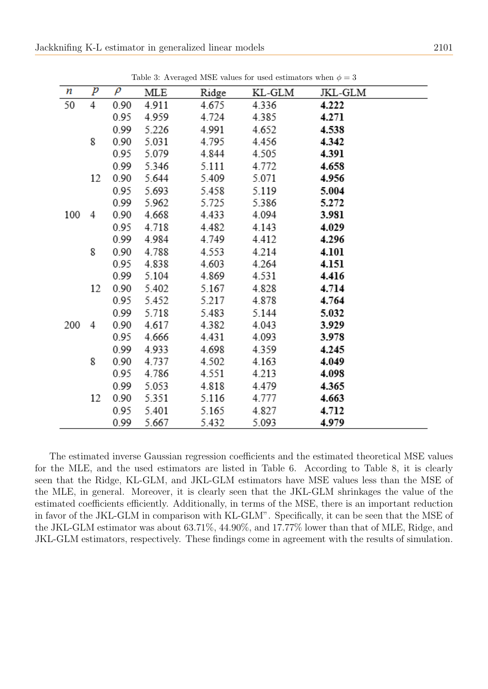<span id="page-8-0"></span>

| п   | p  | $\rho$ | MLE   | Ridge | KL-GLM | JKL-GLM |
|-----|----|--------|-------|-------|--------|---------|
| 50  | 4  | 0.90   | 4.911 | 4.675 | 4.336  | 4.222   |
|     |    | 0.95   | 4.959 | 4.724 | 4.385  | 4.271   |
|     |    | 0.99   | 5.226 | 4.991 | 4.652  | 4.538   |
|     | 8  | 0.90   | 5.031 | 4.795 | 4.456  | 4.342   |
|     |    | 0.95   | 5.079 | 4.844 | 4.505  | 4.391   |
|     |    | 0.99   | 5.346 | 5.111 | 4.772  | 4.658   |
|     | 12 | 0.90   | 5.644 | 5.409 | 5.071  | 4.956   |
|     |    | 0.95   | 5.693 | 5.458 | 5.119  | 5.004   |
|     |    | 0.99   | 5.962 | 5.725 | 5.386  | 5.272   |
| 100 | 4  | 0.90   | 4.668 | 4.433 | 4.094  | 3.981   |
|     |    | 0.95   | 4.718 | 4.482 | 4.143  | 4.029   |
|     |    | 0.99   | 4.984 | 4.749 | 4.412  | 4.296   |
|     | 8  | 0.90   | 4.788 | 4.553 | 4.214  | 4.101   |
|     |    | 0.95   | 4.838 | 4.603 | 4.264  | 4.151   |
|     |    | 0.99   | 5.104 | 4.869 | 4.531  | 4.416   |
|     | 12 | 0.90   | 5.402 | 5.167 | 4.828  | 4.714   |
|     |    | 0.95   | 5.452 | 5.217 | 4.878  | 4.764   |
|     |    | 0.99   | 5.718 | 5.483 | 5.144  | 5.032   |
| 200 | 4  | 0.90   | 4.617 | 4.382 | 4.043  | 3.929   |
|     |    | 0.95   | 4.666 | 4.431 | 4.093  | 3.978   |
|     |    | 0.99   | 4.933 | 4.698 | 4.359  | 4.245   |
|     | 8  | 0.90   | 4.737 | 4.502 | 4.163  | 4.049   |
|     |    | 0.95   | 4.786 | 4.551 | 4.213  | 4.098   |
|     |    | 0.99   | 5.053 | 4.818 | 4.479  | 4.365   |
|     | 12 | 0.90   | 5.351 | 5.116 | 4.777  | 4.663   |
|     |    | 0.95   | 5.401 | 5.165 | 4.827  | 4.712   |
|     |    | 0.99   | 5.667 | 5.432 | 5.093  | 4.979   |

Table 3: Averaged MSE values for used estimators when  $\phi = 3$ 

The estimated inverse Gaussian regression coefficients and the estimated theoretical MSE values for the MLE, and the used estimators are listed in Table 6. According to Table 8, it is clearly seen that the Ridge, KL-GLM, and JKL-GLM estimators have MSE values less than the MSE of the MLE, in general. Moreover, it is clearly seen that the JKL-GLM shrinkages the value of the estimated coefficients efficiently. Additionally, in terms of the MSE, there is an important reduction in favor of the JKL-GLM in comparison with KL-GLM". Specifically, it can be seen that the MSE of the JKL-GLM estimator was about 63.71%, 44.90%, and 17.77% lower than that of MLE, Ridge, and JKL-GLM estimators, respectively. These findings come in agreement with the results of simulation.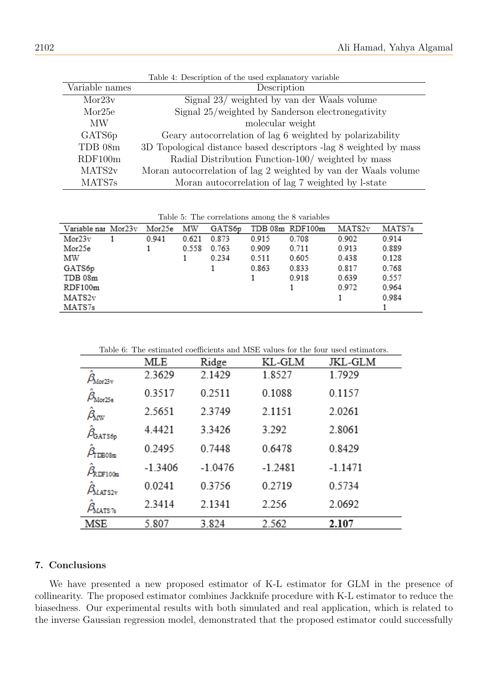<span id="page-9-0"></span>

|                     | Table 4: Description of the used explanatory variable             |
|---------------------|-------------------------------------------------------------------|
| Variable names      | Description                                                       |
| Mor23v              | Signal 23/ weighted by van der Waals volume                       |
| Mor25e              | Signal 25/weighted by Sanderson electronegativity                 |
| <b>MW</b>           | molecular weight                                                  |
| GATS <sub>6</sub> p | Geary autocorrelation of lag 6 weighted by polarizability         |
| TDB 08m             | 3D Topological distance based descriptors -lag 8 weighted by mass |
| RDF100m             | Radial Distribution Function-100/ weighted by mass                |
| MATS2 <sub>v</sub>  | Moran autocorrelation of lag 2 weighted by van der Waals volume   |
| MATS7s              | Moran autocorrelation of lag 7 weighted by l-state                |

Table 4: Description of the used explanatory variable

Table 5: The correlations among the 8 variables

<span id="page-9-1"></span>

| Variable nar Mor23v | Mor25e | ΜW    | GATS6p |       | TDB 08m RDF100m | MATS2v | MATS7s |
|---------------------|--------|-------|--------|-------|-----------------|--------|--------|
| Mor23v              | 0.941  | 0.621 | 0.873  | 0.915 | 0.708           | 0.902  | 0.914  |
| Mor25e              |        | 0.558 | 0.763  | 0.909 | 0.711           | 0.913  | 0.889  |
| ΜW                  |        |       | 0.234  | 0.511 | 0.605           | 0.438  | 0.128  |
| GATS6p              |        |       |        | 0.863 | 0.833           | 0.817  | 0.768  |
| TDB 08m             |        |       |        |       | 0.918           | 0.639  | 0.557  |
| RDF100m             |        |       |        |       |                 | 0.972  | 0.964  |
| MATS2v              |        |       |        |       |                 |        | 0.984  |
| MATS7s              |        |       |        |       |                 |        |        |

|  | Table 6: The estimated coefficients and MSE values for the four used estimators. |  |  |
|--|----------------------------------------------------------------------------------|--|--|
|--|----------------------------------------------------------------------------------|--|--|

|                                 | MLE       | Ridge     | KL-GLM    | JKL-GLM   |
|---------------------------------|-----------|-----------|-----------|-----------|
| $\mu_{\text{Mor23v}}$           | 2.3629    | 2.1429    | 1.8527    | 1.7929    |
| $\beta_{\text{Mor25e}}$         | 0.3517    | 0.2511    | 0.1088    | 0.1157    |
| $\beta_{\rm{aw}}$               | 2.5651    | 2.3749    | 2.1151    | 2.0261    |
| $\hat{\beta}_{\texttt{GATS6p}}$ | 4.4421    | 3.3426    | 3.292     | 2.8061    |
| TDB08m                          | 0.2495    | 0.7448    | 0.6478    | 0.8429    |
| RDF100m                         | $-1.3406$ | $-1.0476$ | $-1.2481$ | $-1.1471$ |
| <b>MATS2v</b>                   | 0.0241    | 0.3756    | 0.2719    | 0.5734    |
| MATS <sub>7s</sub>              | 2.3414    | 2.1341    | 2.256     | 2.0692    |
| MSE                             | 5.807     | 3.824     | 2.562     | 2.107     |

### 7. Conclusions

We have presented a new proposed estimator of K-L estimator for GLM in the presence of collinearity. The proposed estimator combines Jackknife procedure with K-L estimator to reduce the biasedness. Our experimental results with both simulated and real application, which is related to the inverse Gaussian regression model, demonstrated that the proposed estimator could successfully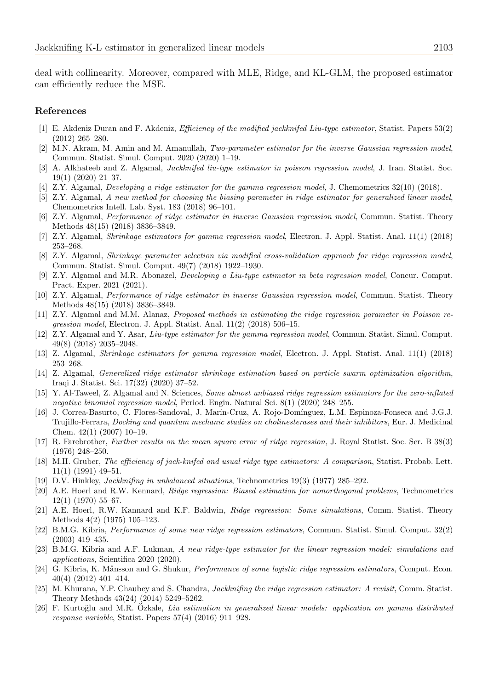deal with collinearity. Moreover, compared with MLE, Ridge, and KL-GLM, the proposed estimator can efficiently reduce the MSE.

### References

- <span id="page-10-14"></span>[1] E. Akdeniz Duran and F. Akdeniz, Efficiency of the modified jackknifed Liu-type estimator, Statist. Papers 53(2) (2012) 265–280.
- <span id="page-10-8"></span>[2] M.N. Akram, M. Amin and M. Amanullah, Two-parameter estimator for the inverse Gaussian regression model, Commun. Statist. Simul. Comput. 2020 (2020) 1–19.
- <span id="page-10-11"></span>[3] A. Alkhateeb and Z. Algamal, Jackknifed liu-type estimator in poisson regression model, J. Iran. Statist. Soc. 19(1) (2020) 21–37.
- <span id="page-10-0"></span>[4] Z.Y. Algamal, Developing a ridge estimator for the gamma regression model, J. Chemometrics 32(10) (2018).
- <span id="page-10-1"></span>[5] Z.Y. Algamal, A new method for choosing the biasing parameter in ridge estimator for generalized linear model, Chemometrics Intell. Lab. Syst. 183 (2018) 96–101.
- <span id="page-10-2"></span>[6] Z.Y. Algamal, Performance of ridge estimator in inverse Gaussian regression model, Commun. Statist. Theory Methods 48(15) (2018) 3836–3849.
- <span id="page-10-3"></span>[7] Z.Y. Algamal, Shrinkage estimators for gamma regression model, Electron. J. Appl. Statist. Anal. 11(1) (2018) 253–268.
- <span id="page-10-4"></span>[8] Z.Y. Algamal, Shrinkage parameter selection via modified cross-validation approach for ridge regression model, Commun. Statist. Simul. Comput. 49(7) (2018) 1922–1930.
- <span id="page-10-18"></span>[9] Z.Y. Algamal and M.R. Abonazel, Developing a Liu-type estimator in beta regression model, Concur. Comput. Pract. Exper. 2021 (2021).
- <span id="page-10-15"></span>[10] Z.Y. Algamal, Performance of ridge estimator in inverse Gaussian regression model, Commun. Statist. Theory Methods 48(15) (2018) 3836–3849.
- <span id="page-10-16"></span>[11] Z.Y. Algamal and M.M. Alanaz, Proposed methods in estimating the ridge regression parameter in Poisson regression model, Electron. J. Appl. Statist. Anal. 11(2) (2018) 506–15.
- <span id="page-10-19"></span>[12] Z.Y. Algamal and Y. Asar, Liu-type estimator for the gamma regression model, Commun. Statist. Simul. Comput. 49(8) (2018) 2035–2048.
- <span id="page-10-20"></span>[13] Z. Algamal, Shrinkage estimators for gamma regression model, Electron. J. Appl. Statist. Anal. 11(1) (2018) 253–268.
- <span id="page-10-21"></span>[14] Z. Algamal, Generalized ridge estimator shrinkage estimation based on particle swarm optimization algorithm, Iraqi J. Statist. Sci. 17(32) (2020) 37–52.
- <span id="page-10-17"></span>[15] Y. Al-Taweel, Z. Algamal and N. Sciences, Some almost unbiased ridge regression estimators for the zero-inflated negative binomial regression model, Period. Engin. Natural Sci. 8(1) (2020) 248–255.
- <span id="page-10-24"></span>[16] J. Correa-Basurto, C. Flores-Sandoval, J. Marín-Cruz, A. Rojo-Domínguez, L.M. Espinoza-Fonseca and J.G.J. Trujillo-Ferrara, Docking and quantum mechanic studies on cholinesterases and their inhibitors, Eur. J. Medicinal Chem. 42(1) (2007) 10–19.
- <span id="page-10-23"></span>[17] R. Farebrother, Further results on the mean square error of ridge regression, J. Royal Statist. Soc. Ser. B 38(3) (1976) 248–250.
- <span id="page-10-13"></span>[18] M.H. Gruber, The efficiency of jack-knifed and usual ridge type estimators: A comparison, Statist. Probab. Lett. 11(1) (1991) 49–51.
- <span id="page-10-22"></span>[19] D.V. Hinkley, Jackknifing in unbalanced situations, Technometrics 19(3) (1977) 285–292.
- <span id="page-10-5"></span>[20] A.E. Hoerl and R.W. Kennard, Ridge regression: Biased estimation for nonorthogonal problems, Technometrics 12(1) (1970) 55–67.
- [21] A.E. Hoerl, R.W. Kannard and K.F. Baldwin, Ridge regression: Some simulations, Comm. Statist. Theory Methods 4(2) (1975) 105–123.
- <span id="page-10-6"></span>[22] B.M.G. Kibria, Performance of some new ridge regression estimators, Commun. Statist. Simul. Comput. 32(2) (2003) 419–435.
- <span id="page-10-12"></span>[23] B.M.G. Kibria and A.F. Lukman, A new ridge-type estimator for the linear regression model: simulations and applications, Scientifica 2020 (2020).
- <span id="page-10-7"></span>[24] G. Kibria, K. Månsson and G. Shukur, *Performance of some logistic ridge regression estimators*, Comput. Econ. 40(4) (2012) 401–414.
- <span id="page-10-10"></span>[25] M. Khurana, Y.P. Chaubey and S. Chandra, Jackknifing the ridge regression estimator: A revisit, Comm. Statist. Theory Methods 43(24) (2014) 5249–5262.
- <span id="page-10-9"></span>[26] F. Kurtoğlu and M.R. Ozkale, Liu estimation in generalized linear models: application on gamma distributed response variable, Statist. Papers 57(4) (2016) 911–928.